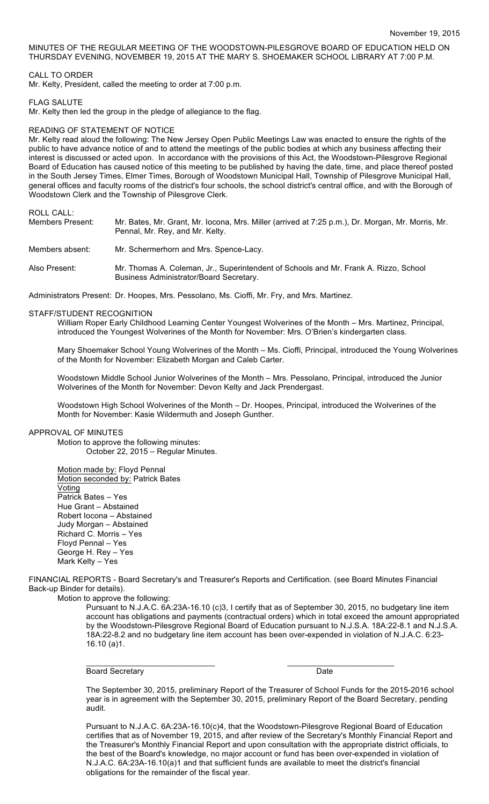MINUTES OF THE REGULAR MEETING OF THE WOODSTOWN-PILESGROVE BOARD OF EDUCATION HELD ON THURSDAY EVENING, NOVEMBER 19, 2015 AT THE MARY S. SHOEMAKER SCHOOL LIBRARY AT 7:00 P.M.

# CALL TO ORDER

Mr. Kelty, President, called the meeting to order at 7:00 p.m.

## FLAG SALUTE

Mr. Kelty then led the group in the pledge of allegiance to the flag.

# READING OF STATEMENT OF NOTICE

Mr. Kelty read aloud the following: The New Jersey Open Public Meetings Law was enacted to ensure the rights of the public to have advance notice of and to attend the meetings of the public bodies at which any business affecting their interest is discussed or acted upon. In accordance with the provisions of this Act, the Woodstown-Pilesgrove Regional Board of Education has caused notice of this meeting to be published by having the date, time, and place thereof posted in the South Jersey Times, Elmer Times, Borough of Woodstown Municipal Hall, Township of Pilesgrove Municipal Hall, general offices and faculty rooms of the district's four schools, the school district's central office, and with the Borough of Woodstown Clerk and the Township of Pilesgrove Clerk.

ROLL CALL:

| Members Present: | Mr. Bates, Mr. Grant, Mr. Iocona, Mrs. Miller (arrived at 7:25 p.m.), Dr. Morgan, Mr. Morris, Mr.<br>Pennal, Mr. Rey, and Mr. Kelty. |
|------------------|--------------------------------------------------------------------------------------------------------------------------------------|
| Members absent:  | Mr. Schermerhorn and Mrs. Spence-Lacy.                                                                                               |
| Also Present: I  | Mr. Thomas A. Coleman, Jr., Superintendent of Schools and Mr. Frank A. Rizzo, School<br>Business Administrator/Board Secretary.      |

Administrators Present: Dr. Hoopes, Mrs. Pessolano, Ms. Cioffi, Mr. Fry, and Mrs. Martinez.

### STAFF/STUDENT RECOGNITION

William Roper Early Childhood Learning Center Youngest Wolverines of the Month – Mrs. Martinez, Principal, introduced the Youngest Wolverines of the Month for November: Mrs. O'Brien's kindergarten class.

Mary Shoemaker School Young Wolverines of the Month – Ms. Cioffi, Principal, introduced the Young Wolverines of the Month for November: Elizabeth Morgan and Caleb Carter.

Woodstown Middle School Junior Wolverines of the Month – Mrs. Pessolano, Principal, introduced the Junior Wolverines of the Month for November: Devon Kelty and Jack Prendergast.

Woodstown High School Wolverines of the Month – Dr. Hoopes, Principal, introduced the Wolverines of the Month for November: Kasie Wildermuth and Joseph Gunther.

# APPROVAL OF MINUTES

Motion to approve the following minutes: October 22, 2015 – Regular Minutes.

Motion made by: Floyd Pennal Motion seconded by: Patrick Bates Voting Patrick Bates – Yes Hue Grant – Abstained Robert Iocona – Abstained Judy Morgan – Abstained Richard C. Morris – Yes Floyd Pennal – Yes George H. Rey – Yes Mark Kelty – Yes

FINANCIAL REPORTS - Board Secretary's and Treasurer's Reports and Certification. (see Board Minutes Financial Back-up Binder for details).

 $\overline{\phantom{a}}$  , and the contribution of the contribution of  $\overline{\phantom{a}}$  , and  $\overline{\phantom{a}}$  , and  $\overline{\phantom{a}}$  , and  $\overline{\phantom{a}}$ 

Motion to approve the following:

Pursuant to N.J.A.C. 6A:23A-16.10 (c)3, I certify that as of September 30, 2015, no budgetary line item account has obligations and payments (contractual orders) which in total exceed the amount appropriated by the Woodstown-Pilesgrove Regional Board of Education pursuant to N.J.S.A. 18A:22-8.1 and N.J.S.A. 18A:22-8.2 and no budgetary line item account has been over-expended in violation of N.J.A.C. 6:23- 16.10 (a)1.

### Board Secretary Date **Date**

The September 30, 2015, preliminary Report of the Treasurer of School Funds for the 2015-2016 school year is in agreement with the September 30, 2015, preliminary Report of the Board Secretary, pending audit.

Pursuant to N.J.A.C. 6A:23A-16.10(c)4, that the Woodstown-Pilesgrove Regional Board of Education certifies that as of November 19, 2015, and after review of the Secretary's Monthly Financial Report and the Treasurer's Monthly Financial Report and upon consultation with the appropriate district officials, to the best of the Board's knowledge, no major account or fund has been over-expended in violation of N.J.A.C. 6A:23A-16.10(a)1 and that sufficient funds are available to meet the district's financial obligations for the remainder of the fiscal year.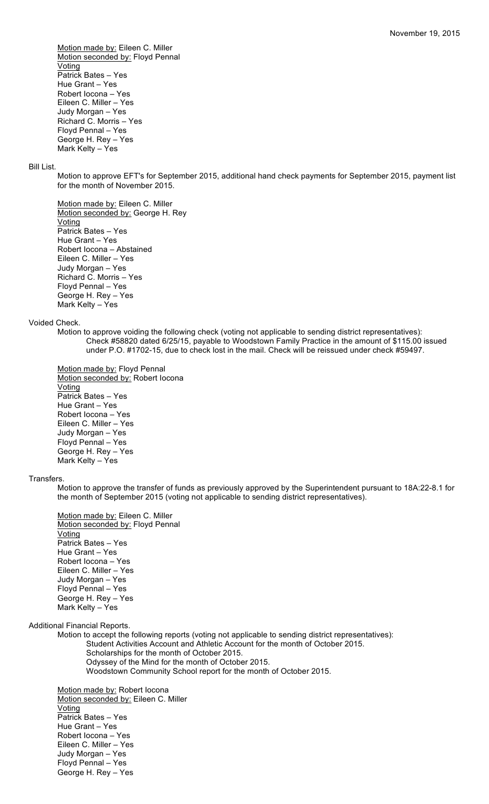Motion made by: Eileen C. Miller Motion seconded by: Floyd Pennal **Voting** Patrick Bates – Yes Hue Grant – Yes Robert Iocona – Yes Eileen C. Miller – Yes Judy Morgan – Yes Richard C. Morris – Yes Floyd Pennal – Yes George H. Rey – Yes Mark Kelty – Yes

## Bill List.

Motion to approve EFT's for September 2015, additional hand check payments for September 2015, payment list for the month of November 2015.

Motion made by: Eileen C. Miller Motion seconded by: George H. Rey **Voting** Patrick Bates – Yes Hue Grant – Yes Robert Iocona – Abstained Eileen C. Miller – Yes Judy Morgan – Yes Richard C. Morris – Yes Floyd Pennal – Yes George H. Rey – Yes Mark Kelty – Yes

### Voided Check.

Motion to approve voiding the following check (voting not applicable to sending district representatives): Check #58820 dated 6/25/15, payable to Woodstown Family Practice in the amount of \$115.00 issued under P.O. #1702-15, due to check lost in the mail. Check will be reissued under check #59497.

Motion made by: Floyd Pennal Motion seconded by: Robert Iocona **Voting** Patrick Bates – Yes Hue Grant – Yes Robert Iocona – Yes Eileen C. Miller – Yes Judy Morgan – Yes Floyd Pennal – Yes George H. Rey – Yes Mark Kelty – Yes

#### Transfers.

Motion to approve the transfer of funds as previously approved by the Superintendent pursuant to 18A:22-8.1 for the month of September 2015 (voting not applicable to sending district representatives).

Motion made by: Eileen C. Miller Motion seconded by: Floyd Pennal Voting Patrick Bates – Yes Hue Grant – Yes Robert Iocona – Yes Eileen C. Miller – Yes Judy Morgan – Yes Floyd Pennal – Yes George H. Rey – Yes Mark Kelty – Yes

Additional Financial Reports.

Motion to accept the following reports (voting not applicable to sending district representatives): Student Activities Account and Athletic Account for the month of October 2015. Scholarships for the month of October 2015. Odyssey of the Mind for the month of October 2015. Woodstown Community School report for the month of October 2015.

Motion made by: Robert Iocona Motion seconded by: Eileen C. Miller Voting Patrick Bates – Yes Hue Grant – Yes Robert Iocona – Yes Eileen C. Miller – Yes Judy Morgan – Yes Floyd Pennal – Yes George H. Rey – Yes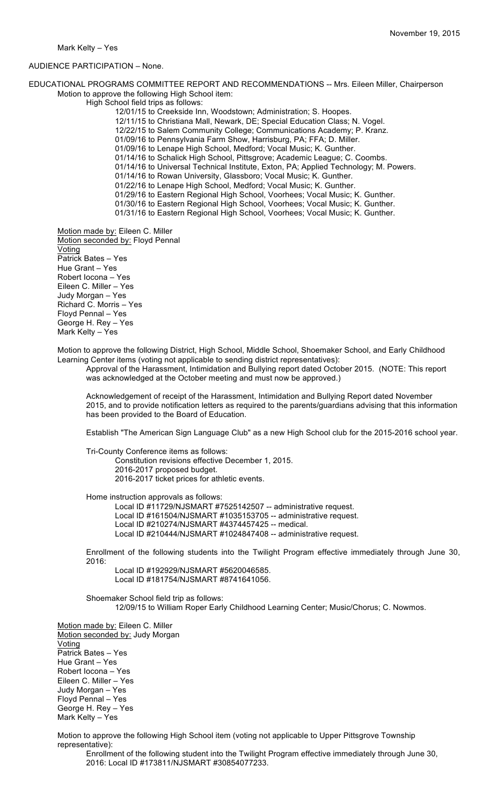## AUDIENCE PARTICIPATION – None.

EDUCATIONAL PROGRAMS COMMITTEE REPORT AND RECOMMENDATIONS -- Mrs. Eileen Miller, Chairperson Motion to approve the following High School item:

High School field trips as follows:

12/01/15 to Creekside Inn, Woodstown; Administration; S. Hoopes.

12/11/15 to Christiana Mall, Newark, DE; Special Education Class; N. Vogel.

12/22/15 to Salem Community College; Communications Academy; P. Kranz.

01/09/16 to Pennsylvania Farm Show, Harrisburg, PA; FFA; D. Miller. 01/09/16 to Lenape High School, Medford; Vocal Music; K. Gunther.

01/14/16 to Schalick High School, Pittsgrove; Academic League; C. Coombs.

01/14/16 to Universal Technical Institute, Exton, PA; Applied Technology; M. Powers.

01/14/16 to Rowan University, Glassboro; Vocal Music; K. Gunther.

01/22/16 to Lenape High School, Medford; Vocal Music; K. Gunther.

01/29/16 to Eastern Regional High School, Voorhees; Vocal Music; K. Gunther.

01/30/16 to Eastern Regional High School, Voorhees; Vocal Music; K. Gunther.

01/31/16 to Eastern Regional High School, Voorhees; Vocal Music; K. Gunther.

Motion made by: Eileen C. Miller Motion seconded by: Floyd Pennal Voting Patrick Bates – Yes Hue Grant – Yes Robert Iocona – Yes Eileen C. Miller – Yes Judy Morgan – Yes Richard C. Morris – Yes Floyd Pennal – Yes George H. Rey – Yes Mark Kelty – Yes

Motion to approve the following District, High School, Middle School, Shoemaker School, and Early Childhood Learning Center items (voting not applicable to sending district representatives):

Approval of the Harassment, Intimidation and Bullying report dated October 2015. (NOTE: This report was acknowledged at the October meeting and must now be approved.)

Acknowledgement of receipt of the Harassment, Intimidation and Bullying Report dated November 2015, and to provide notification letters as required to the parents/guardians advising that this information has been provided to the Board of Education.

Establish "The American Sign Language Club" as a new High School club for the 2015-2016 school year.

Tri-County Conference items as follows:

Constitution revisions effective December 1, 2015. 2016-2017 proposed budget. 2016-2017 ticket prices for athletic events.

Home instruction approvals as follows:

Local ID #11729/NJSMART #7525142507 -- administrative request. Local ID #161504/NJSMART #1035153705 -- administrative request.

Local ID #210274/NJSMART #4374457425 -- medical.

Local ID #210444/NJSMART #1024847408 -- administrative request.

Enrollment of the following students into the Twilight Program effective immediately through June 30, 2016:

Local ID #192929/NJSMART #5620046585. Local ID #181754/NJSMART #8741641056.

Shoemaker School field trip as follows: 12/09/15 to William Roper Early Childhood Learning Center; Music/Chorus; C. Nowmos.

Motion made by: Eileen C. Miller Motion seconded by: Judy Morgan Voting Patrick Bates – Yes Hue Grant – Yes Robert Iocona – Yes Eileen C. Miller – Yes Judy Morgan – Yes Floyd Pennal – Yes George H. Rey – Yes Mark Kelty – Yes

Motion to approve the following High School item (voting not applicable to Upper Pittsgrove Township representative):

Enrollment of the following student into the Twilight Program effective immediately through June 30, 2016: Local ID #173811/NJSMART #30854077233.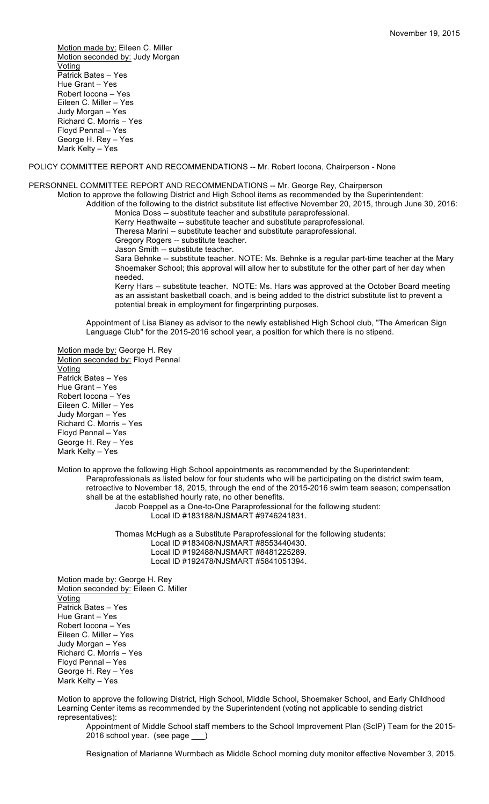Motion made by: Eileen C. Miller Motion seconded by: Judy Morgan Voting Patrick Bates – Yes Hue Grant – Yes Robert Iocona – Yes Eileen C. Miller – Yes Judy Morgan – Yes Richard C. Morris – Yes Floyd Pennal – Yes George H. Rey – Yes Mark Kelty – Yes

POLICY COMMITTEE REPORT AND RECOMMENDATIONS -- Mr. Robert Iocona, Chairperson - None

### PERSONNEL COMMITTEE REPORT AND RECOMMENDATIONS -- Mr. George Rey, Chairperson

Motion to approve the following District and High School items as recommended by the Superintendent:

Addition of the following to the district substitute list effective November 20, 2015, through June 30, 2016: Monica Doss -- substitute teacher and substitute paraprofessional.

Kerry Heathwaite -- substitute teacher and substitute paraprofessional.

Theresa Marini -- substitute teacher and substitute paraprofessional.

Gregory Rogers -- substitute teacher.

Jason Smith -- substitute teacher.

Sara Behnke -- substitute teacher. NOTE: Ms. Behnke is a regular part-time teacher at the Mary Shoemaker School; this approval will allow her to substitute for the other part of her day when needed.

Kerry Hars -- substitute teacher. NOTE: Ms. Hars was approved at the October Board meeting as an assistant basketball coach, and is being added to the district substitute list to prevent a potential break in employment for fingerprinting purposes.

Appointment of Lisa Blaney as advisor to the newly established High School club, "The American Sign Language Club" for the 2015-2016 school year, a position for which there is no stipend.

Motion made by: George H. Rey Motion seconded by: Floyd Pennal Voting Patrick Bates – Yes Hue Grant – Yes Robert Iocona – Yes Eileen C. Miller – Yes Judy Morgan – Yes Richard C. Morris – Yes Floyd Pennal – Yes George H. Rey – Yes Mark Kelty – Yes

Motion to approve the following High School appointments as recommended by the Superintendent: Paraprofessionals as listed below for four students who will be participating on the district swim team, retroactive to November 18, 2015, through the end of the 2015-2016 swim team season; compensation shall be at the established hourly rate, no other benefits. Jacob Poeppel as a One-to-One Paraprofessional for the following student:

Local ID #183188/NJSMART #9746241831.

Thomas McHugh as a Substitute Paraprofessional for the following students: Local ID #183408/NJSMART #8553440430. Local ID #192488/NJSMART #8481225289. Local ID #192478/NJSMART #5841051394.

Motion made by: George H. Rey Motion seconded by: Eileen C. Miller Voting Patrick Bates – Yes Hue Grant – Yes Robert Iocona – Yes Eileen C. Miller – Yes Judy Morgan – Yes Richard C. Morris – Yes Floyd Pennal – Yes George H. Rey – Yes Mark Kelty – Yes

Motion to approve the following District, High School, Middle School, Shoemaker School, and Early Childhood Learning Center items as recommended by the Superintendent (voting not applicable to sending district representatives):

Appointment of Middle School staff members to the School Improvement Plan (ScIP) Team for the 2015- 2016 school year. (see page \_\_\_)

Resignation of Marianne Wurmbach as Middle School morning duty monitor effective November 3, 2015.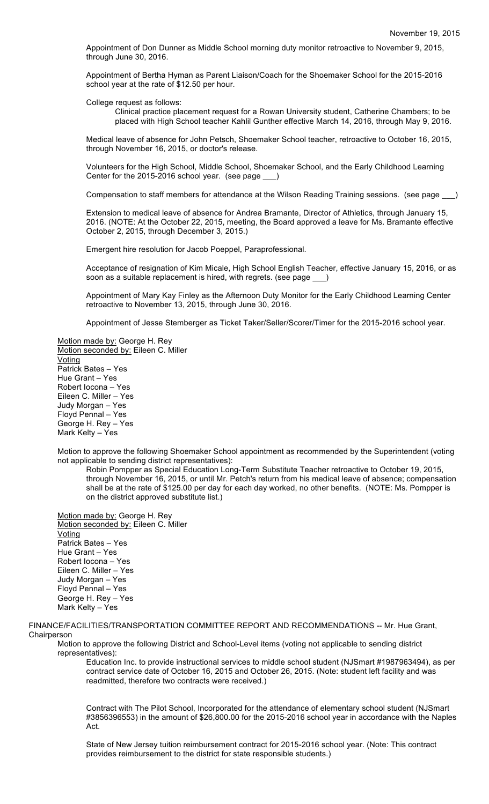Appointment of Don Dunner as Middle School morning duty monitor retroactive to November 9, 2015, through June 30, 2016.

Appointment of Bertha Hyman as Parent Liaison/Coach for the Shoemaker School for the 2015-2016 school year at the rate of \$12.50 per hour.

College request as follows:

Clinical practice placement request for a Rowan University student, Catherine Chambers; to be placed with High School teacher Kahlil Gunther effective March 14, 2016, through May 9, 2016.

Medical leave of absence for John Petsch, Shoemaker School teacher, retroactive to October 16, 2015, through November 16, 2015, or doctor's release.

Volunteers for the High School, Middle School, Shoemaker School, and the Early Childhood Learning Center for the 2015-2016 school year. (see page \_\_\_)

Compensation to staff members for attendance at the Wilson Reading Training sessions. (see page

Extension to medical leave of absence for Andrea Bramante, Director of Athletics, through January 15, 2016. (NOTE: At the October 22, 2015, meeting, the Board approved a leave for Ms. Bramante effective October 2, 2015, through December 3, 2015.)

Emergent hire resolution for Jacob Poeppel, Paraprofessional.

Acceptance of resignation of Kim Micale, High School English Teacher, effective January 15, 2016, or as soon as a suitable replacement is hired, with regrets. (see page \_

Appointment of Mary Kay Finley as the Afternoon Duty Monitor for the Early Childhood Learning Center retroactive to November 13, 2015, through June 30, 2016.

Appointment of Jesse Stemberger as Ticket Taker/Seller/Scorer/Timer for the 2015-2016 school year.

Motion made by: George H. Rey Motion seconded by: Eileen C. Miller Voting Patrick Bates – Yes Hue Grant – Yes Robert Iocona – Yes Eileen C. Miller – Yes Judy Morgan – Yes Floyd Pennal – Yes George H. Rey – Yes Mark Kelty – Yes

Motion to approve the following Shoemaker School appointment as recommended by the Superintendent (voting not applicable to sending district representatives):

Robin Pompper as Special Education Long-Term Substitute Teacher retroactive to October 19, 2015, through November 16, 2015, or until Mr. Petch's return from his medical leave of absence; compensation shall be at the rate of \$125.00 per day for each day worked, no other benefits. (NOTE: Ms. Pompper is on the district approved substitute list.)

Motion made by: George H. Rey Motion seconded by: Eileen C. Miller Voting Patrick Bates – Yes Hue Grant – Yes Robert Iocona – Yes Eileen C. Miller – Yes Judy Morgan – Yes Floyd Pennal – Yes George H. Rey – Yes Mark Kelty – Yes

FINANCE/FACILITIES/TRANSPORTATION COMMITTEE REPORT AND RECOMMENDATIONS -- Mr. Hue Grant, Chairperson

Motion to approve the following District and School-Level items (voting not applicable to sending district representatives):

Education Inc. to provide instructional services to middle school student (NJSmart #1987963494), as per contract service date of October 16, 2015 and October 26, 2015. (Note: student left facility and was readmitted, therefore two contracts were received.)

Contract with The Pilot School, Incorporated for the attendance of elementary school student (NJSmart #3856396553) in the amount of \$26,800.00 for the 2015-2016 school year in accordance with the Naples Act.

State of New Jersey tuition reimbursement contract for 2015-2016 school year. (Note: This contract provides reimbursement to the district for state responsible students.)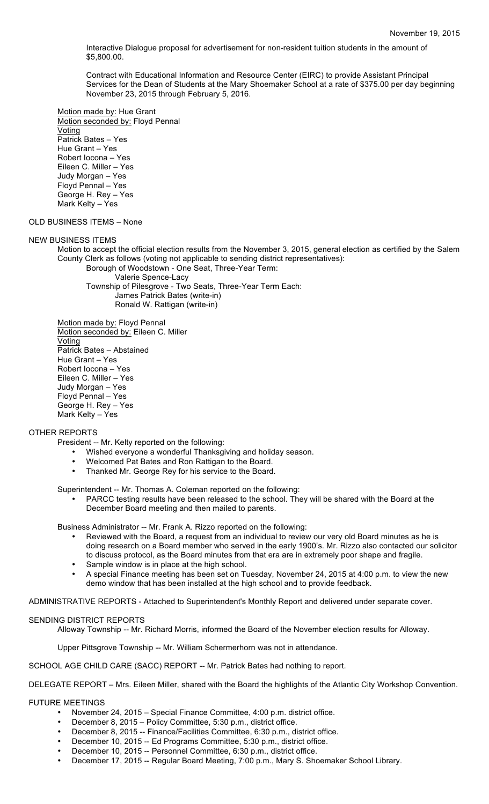Interactive Dialogue proposal for advertisement for non-resident tuition students in the amount of \$5,800.00.

Contract with Educational Information and Resource Center (EIRC) to provide Assistant Principal Services for the Dean of Students at the Mary Shoemaker School at a rate of \$375.00 per day beginning November 23, 2015 through February 5, 2016.

Motion made by: Hue Grant Motion seconded by: Floyd Pennal **Voting** Patrick Bates – Yes Hue Grant – Yes Robert Iocona – Yes Eileen C. Miller – Yes Judy Morgan – Yes Floyd Pennal – Yes George H. Rey – Yes Mark Kelty – Yes

## OLD BUSINESS ITEMS – None

### NEW BUSINESS ITEMS

Motion to accept the official election results from the November 3, 2015, general election as certified by the Salem County Clerk as follows (voting not applicable to sending district representatives):

Borough of Woodstown - One Seat, Three-Year Term: Valerie Spence-Lacy Township of Pilesgrove - Two Seats, Three-Year Term Each: James Patrick Bates (write-in) Ronald W. Rattigan (write-in)

Motion made by: Floyd Pennal Motion seconded by: Eileen C. Miller Voting Patrick Bates – Abstained Hue Grant – Yes Robert Iocona – Yes Eileen C. Miller – Yes Judy Morgan – Yes Floyd Pennal – Yes George H. Rey – Yes Mark Kelty – Yes

## OTHER REPORTS

President -- Mr. Kelty reported on the following:

- Wished everyone a wonderful Thanksgiving and holiday season.<br>• Welcomed Pat Bates and Ron Rattigan to the Board
- Welcomed Pat Bates and Ron Rattigan to the Board.
- Thanked Mr. George Rey for his service to the Board.

Superintendent -- Mr. Thomas A. Coleman reported on the following:

• PARCC testing results have been released to the school. They will be shared with the Board at the December Board meeting and then mailed to parents.

Business Administrator -- Mr. Frank A. Rizzo reported on the following:

- Reviewed with the Board, a request from an individual to review our very old Board minutes as he is doing research on a Board member who served in the early 1900's. Mr. Rizzo also contacted our solicitor to discuss protocol, as the Board minutes from that era are in extremely poor shape and fragile.
- Sample window is in place at the high school.
- A special Finance meeting has been set on Tuesday, November 24, 2015 at 4:00 p.m. to view the new demo window that has been installed at the high school and to provide feedback.

ADMINISTRATIVE REPORTS - Attached to Superintendent's Monthly Report and delivered under separate cover.

### SENDING DISTRICT REPORTS

Alloway Township -- Mr. Richard Morris, informed the Board of the November election results for Alloway.

Upper Pittsgrove Township -- Mr. William Schermerhorn was not in attendance.

SCHOOL AGE CHILD CARE (SACC) REPORT -- Mr. Patrick Bates had nothing to report.

DELEGATE REPORT – Mrs. Eileen Miller, shared with the Board the highlights of the Atlantic City Workshop Convention.

### FUTURE MEETINGS

- November 24, 2015 Special Finance Committee, 4:00 p.m. district office.
- December 8, 2015 Policy Committee, 5:30 p.m., district office.
- December 8, 2015 -- Finance/Facilities Committee, 6:30 p.m., district office.
- December 10, 2015 -- Ed Programs Committee, 5:30 p.m., district office.
- December 10, 2015 -- Personnel Committee, 6:30 p.m., district office.
- December 17, 2015 -- Regular Board Meeting, 7:00 p.m., Mary S. Shoemaker School Library.